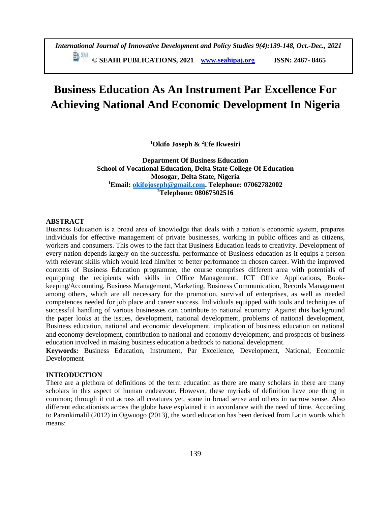# **Business Education As An Instrument Par Excellence For Achieving National And Economic Development In Nigeria**

**<sup>1</sup>Okifo Joseph & <sup>2</sup>Efe Ikwesiri**

**Department Of Business Education School of Vocational Education, Delta State College Of Education Mosogar, Delta State, Nigeria <sup>1</sup>Email: [okifojoseph@gmail.com.](mailto:okifojoseph@gmail.com) Telephone: 07062782002 <sup>2</sup>Telephone: 08067502516**

# **ABSTRACT**

Business Education is a broad area of knowledge that deals with a nation's economic system, prepares individuals for effective management of private businesses, working in public offices and as citizens, workers and consumers. This owes to the fact that Business Education leads to creativity. Development of every nation depends largely on the successful performance of Business [education](file://education) as it equips a person with relevant skills which would lead him/her to better performance in chosen career. With the improved contents of Business Education programme, the course comprises different area with potentials of equipping the recipients with skills in Office Management, ICT Office Applications, Bookkeeping/Accounting, Business Management, Marketing, Business Communication, Records Management among others, which are all necessary for the promotion, survival of enterprises, as well as needed competences needed for job place and career success. Individuals equipped with tools and techniques of successful handling of various businesses can contribute to national economy. Against this background the paper looks at the issues, development, national development, problems of national development, Business education, national and economic development, implication of business education on national and economy development, contribution to national and economy development, and prospects of business education involved in making business education a bedrock to national development.

**Keywords***:* Business Education, Instrument, Par Excellence, Development, National, Economic Development

## **INTRODUCTION**

There are a plethora of definitions of the term education as there are many scholars in there are many scholars in this aspect of human endeavour. However, these myriads of definition have one thing in common; through it cut across all creatures yet, some in broad sense and others in narrow sense. Also different educationists across the globe have explained it in accordance with the need of time. According to Parankimalil (2012) in Ogwuogo (2013), the word education has been derived from Latin words which means: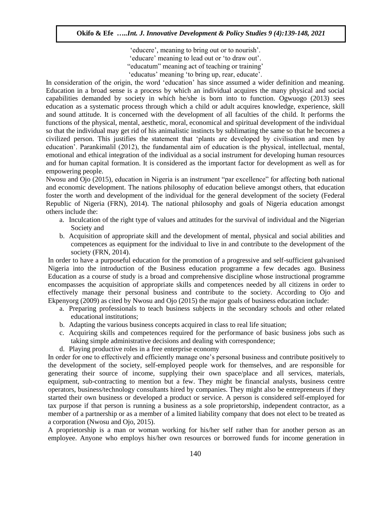'educere', meaning to bring out or to nourish'. 'educare' meaning to lead out or 'to draw out'. "educatum" meaning act of teaching or training' 'educatus' meaning 'to bring up, rear, educate'.

In consideration of the origin, the word 'education' has since assumed a wider definition and meaning. Education in a broad sense is a process by which an individual acquires the many physical and social capabilities demanded by society in which he/she is born into to function. Ogwuogo (2013) sees education as a systematic process through which a child or adult acquires knowledge, experience, skill and sound attitude. It is concerned with the development of all faculties of the child. It performs the functions of the physical, mental, aesthetic, moral, economical and spiritual development of the individual so that the individual may get rid of his animalistic instincts by sublimating the same so that he becomes a civilized person. This justifies the statement that 'plants are developed by civilisation and men by education'. Parankimalil (2012), the fundamental aim of education is the physical, intellectual, mental, emotional and ethical integration of the individual as a social instrument for developing human resources and for human capital formation. It is considered as the important factor for development as well as for empowering people.

Nwosu and Ojo (2015), education in Nigeria is an instrument "par excellence" for affecting both national and economic development. The nations philosophy of education believe amongst others, that education foster the worth and development of the individual for the general development of the society (Federal Republic of Nigeria (FRN), 2014). The national philosophy and goals of Nigeria education amongst others include the:

- a. Inculcation of the right type of values and attitudes for the survival of individual and the Nigerian Society and
- b. Acquisition of appropriate skill and the development of mental, physical and social abilities and competences as equipment for the individual to live in and contribute to the development of the society (FRN, 2014).

In order to have a purposeful education for the promotion of a progressive and self-sufficient galvanised Nigeria into the introduction of the Business education programme a few decades ago. Business Education as a course of study is a broad and comprehensive discipline whose instructional programme encompasses the acquisition of appropriate skills and competences needed by all citizens in order to effectively manage their personal business and contribute to the society. According to Ojo and Ekpenyorg (2009) as cited by Nwosu and Ojo (2015) the major goals of business education include:

- a. Preparing professionals to teach business subjects in the secondary schools and other related educational institutions;
- b. Adapting the various business concepts acquired in class to real life situation;
- c. Acquiring skills and competences required for the performance of basic business jobs such as taking simple administrative decisions and dealing with correspondence;
- d. Playing productive roles in a free enterprise economy

In order for one to effectively and efficiently manage one's personal business and contribute positively to the development of the society, self-employed people work for themselves, and are responsible for generating their source of income, supplying their own space/place and all services, materials, equipment, sub-contracting to mention but a few. They might be financial analysts, business centre operators, business/technology consultants hired by companies. They might also be entrepreneurs if they started their own business or developed a product or service. A person is considered self-employed for tax purpose if that person is running a business as a sole proprietorship, independent contractor, as a member of a partnership or as a member of a limited liability company that does not elect to be treated as a corporation (Nwosu and Ojo, 2015).

A proprietorship is a man or woman working for his/her self rather than for another person as an employee. Anyone who employs his/her own resources or borrowed funds for income generation in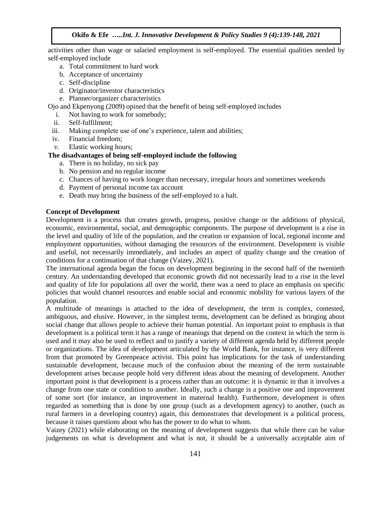activities other than wage or salaried employment is self-employed. The essential qualities needed by self-employed include

- a. Total commitment to hard work
- b. Acceptance of uncertainty
- c. Self-discipline
- d. Originator/investor characteristics
- e. Planner/organizer characteristics

Ojo and Ekpenyong (2009) opined that the benefit of being self-employed includes

- i. Not having to work for somebody;
- ii. Self-fulfilment;
- iii. Making complete use of one's experience, talent and abilities;
- iv. Financial freedom;
- v. Elastic working hours;

# **The disadvantages of being self-employed include the following**

- a. There is no holiday, no sick pay
- b. No pension and no regular income
- c. Chances of having to work longer than necessary, irregular hours and sometimes weekends
- d. Payment of personal income tax account
- e. Death may bring the business of the self-employed to a halt.

# **Concept of Development**

Development is a process that creates growth, progress, positive change or the additions of physical, economic, environmental, social, and demographic components. The purpose of development is a rise in the level and quality of life of the population, and the creation or expansion of local, regional income and employment opportunities, without damaging the resources of the environment. Development is visible and useful, not necessarily immediately, and includes an aspect of quality change and the creation of conditions for a continuation of that change (Vaizey, 2021).

The international agenda began the focus on development beginning in the second half of the twentieth century. An understanding developed that economic growth did not necessarily lead to a rise in the level and quality of life for populations all over the world, there was a need to place an emphasis on specific policies that would channel resources and enable social and economic mobility for various layers of the population.

A multitude of meanings is attached to the idea of development, the term is complex, contested, ambiguous, and elusive. However, in the simplest terms, development can be defined as bringing about social change that allows people to achieve their human potential. An important point to emphasis is that development is a political term it has a range of meanings that depend on the context in which the term is used and it may also be used to reflect and to justify a variety of different agenda held by different people or organizations. The idea of development articulated by the World Bank, for instance, is very different from that promoted by Greenpeace activist. This point has implications for the task of understanding sustainable development, because much of the confusion about the meaning of the term sustainable development arises because people hold very different ideas about the meaning of development. Another important point is that development is a process rather than an outcome: it is dynamic in that it involves a change from one state or condition to another. Ideally, such a change is a positive one and improvement of some sort (for instance, an improvement in maternal health). Furthermore, development is often regarded as something that is done by one group (such as a development agency) to another, (such as rural farmers in a developing country) again, this demonstrates that development is a political process, because it raises questions about who has the power to do what to whom.

Vaizey (2021) while elaborating on the meaning of development suggests that while there can be value judgements on what is development and what is not, it should be a universally acceptable aim of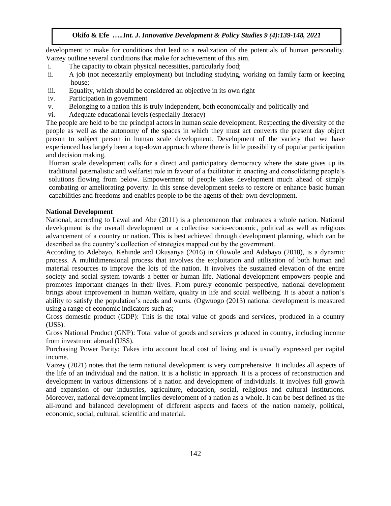development to make for conditions that lead to a realization of the potentials of human personality. Vaizey outline several conditions that make for achievement of this aim.

- i. The capacity to obtain physical necessities, particularly food;
- ii. A job (not necessarily employment) but including studying, working on family farm or keeping house;
- iii. Equality, which should be considered an objective in its own right
- iv. Participation in government
- v. Belonging to a nation this is truly independent, both economically and politically and
- vi. Adequate educational levels (especially literacy)

The people are held to be the principal actors in human scale development. Respecting the diversity of the people as well as the autonomy of the spaces in which they must act converts the present day object person to subject person in human scale development. Development of the variety that we have experienced has largely been a top-down approach where there is little possibility of popular participation and decision making.

Human scale development calls for a direct and participatory democracy where the state gives up its traditional paternalistic and welfarist role in favour of a facilitator in enacting and consolidating people's solutions flowing from below. Empowerment of people takes development much ahead of simply combating or ameliorating poverty. In this sense development seeks to restore or enhance basic human capabilities and freedoms and enables people to be the agents of their own development.

## **National Development**

National, according to Lawal and Abe (2011) is a phenomenon that embraces a whole nation. National development is the overall development or a collective socio-economic, political as well as religious advancement of a country or nation. This is best achieved through development planning, which can be described as the country's collection of strategies mapped out by the government.

According to Adebayo, Kehinde and Okusanya (2016) in Oluwole and Adabayo (2018), is a dynamic process. A multidimensional process that involves the exploitation and utilisation of both human and material resources to improve the lots of the nation. It involves the sustained elevation of the entire society and social system towards a better or human life. National development empowers people and promotes important changes in their lives. From purely economic perspective, national development brings about improvement in human welfare, quality in life and social wellbeing. It is about a nation's ability to satisfy the population's needs and wants. (Ogwuogo (2013) national development is measured using a range of economic indicators such as;

Gross domestic product (GDP): This is the total value of goods and services, produced in a country (US\$).

Gross National Product (GNP): Total value of goods and services produced in country, including income from investment abroad (US\$).

Purchasing Power Parity: Takes into account local cost of living and is usually expressed per capital income.

Vaizey (2021) notes that the term national development is very comprehensive. It includes all aspects of the life of an individual and the nation. It is a holistic in approach. It is a process of reconstruction and development in various dimensions of a nation and development of individuals. It involves full growth and expansion of our industries, agriculture, education, social, religious and cultural institutions. Moreover, national development implies development of a nation as a whole. It can be best defined as the all-round and balanced development of different aspects and facets of the nation namely, political, economic, social, cultural, scientific and material.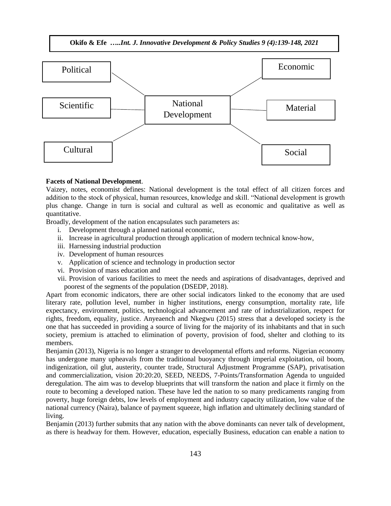

#### **Facets of National Development**.

Vaizey, notes, economist defines: National development is the total effect of all citizen forces and addition to the stock of physical, human resources, knowledge and skill. "National development is growth plus change. Change in turn is social and cultural as well as economic and qualitative as well as quantitative.

Broadly, development of the nation encapsulates such parameters as:

- i. Development through a planned national economic,
- ii. Increase in agricultural production through application of modern technical know-how,
- iii. Harnessing industrial production
- iv. Development of human resources
- v. Application of science and technology in production sector
- vi. Provision of mass education and
- vii. Provision of various facilities to meet the needs and aspirations of disadvantages, deprived and poorest of the segments of the population (DSEDP, 2018).

Apart from economic indicators, there are other social indicators linked to the economy that are used literary rate, pollution level, number in higher institutions, energy consumption, mortality rate, life expectancy, environment, politics, technological advancement and rate of industrialization, respect for rights, freedom, equality, justice. Anyeaench and Nkegwu (2015) stress that a developed society is the one that has succeeded in providing a source of living for the majority of its inhabitants and that in such society, premium is attached to elimination of poverty, provision of food, shelter and clothing to its members.

Benjamin (2013), Nigeria is no longer a stranger to developmental efforts and reforms. Nigerian economy has undergone many upheavals from the traditional buoyancy through imperial exploitation, oil boom, indigenization, oil glut, austerity, counter trade, Structural Adjustment Programme (SAP), privatisation and commercialization, vision 20:20:20, SEED, NEEDS, 7-Points/Transformation Agenda to unguided deregulation. The aim was to develop blueprints that will transform the nation and place it firmly on the route to becoming a developed nation. These have led the nation to so many predicaments ranging from poverty, huge foreign debts, low levels of employment and industry capacity utilization, low value of the national currency (Naira), balance of payment squeeze, high inflation and ultimately declining standard of living.

Benjamin (2013) further submits that any nation with the above dominants can never talk of development, as there is headway for them. However, education, especially Business, education can enable a nation to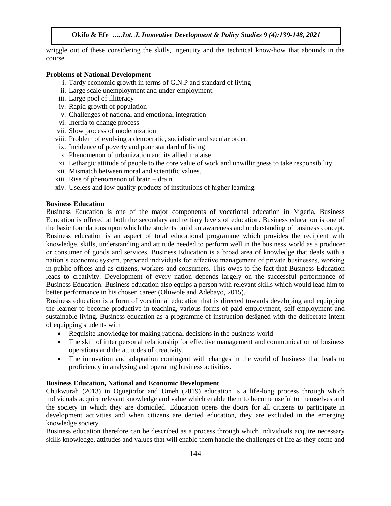wriggle out of these considering the skills, ingenuity and the technical know-how that abounds in the course.

#### **Problems of National Development**

- i. Tardy economic growth in terms of G.N.P and standard of living
- ii. Large scale unemployment and under-employment.
- iii. Large pool of illiteracy
- iv. Rapid growth of population
- v. Challenges of national and emotional integration
- vi. Inertia to change process
- vii. Slow process of modernization
- viii. Problem of evolving a democratic, socialistic and secular order.
- ix. Incidence of poverty and poor standard of living
- x. Phenomenon of urbanization and its allied malaise
- xi. Lethargic attitude of people to the core value of work and unwillingness to take responsibility.
- xii. Mismatch between moral and scientific values.
- xiii. Rise of phenomenon of brain drain
- xiv. Useless and low quality products of institutions of higher learning.

#### **Business Education**

Business Education is one of the major components of vocational education in Nigeria, Business Education is offered at both the secondary and tertiary levels of education. Business education is one of the basic foundations upon which the students build an awareness and understanding of business concept. Business education is an aspect of total educational programme which provides the recipient with knowledge, skills, understanding and attitude needed to perform well in the business world as a producer or consumer of goods and services. Business Education is a broad area of knowledge that deals with a nation's economic system, prepared individuals for effective management of private businesses, working in public offices and as citizens, workers and consumers. This owes to the fact that Business Education leads to creativity. Development of every nation depends largely on the successful performance of Business Education. Business education also equips a person with relevant skills which would lead him to better performance in his chosen career (Oluwole and Adebayo, 2015).

Business education is a form of vocational education that is directed towards developing and equipping the learner to become productive in teaching, various forms of paid employment, self-employment and sustainable living. Business education as a programme of instruction designed with the deliberate intent of equipping students with

- Requisite knowledge for making rational decisions in the business world
- The skill of inter personal relationship for effective management and communication of business operations and the attitudes of creativity.
- The innovation and adaptation contingent with changes in the world of business that leads to proficiency in analysing and operating business activities.

#### **Business Education, National and Economic Development**

Chukwurah (2013) in Oguejiofor and Umeh (2019) education is a life-long process through which individuals acquire relevant knowledge and value which enable them to become useful to themselves and the society in which they are domiciled. Education opens the doors for all citizens to participate in development activities and when citizens are denied education, they are excluded in the emerging knowledge society.

Business education therefore can be described as a process through which individuals acquire necessary skills knowledge, attitudes and values that will enable them handle the challenges of life as they come and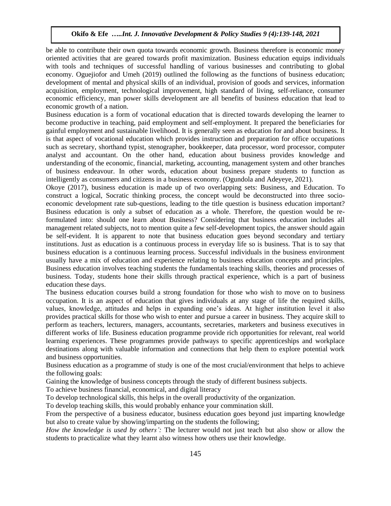be able to contribute their own quota towards economic growth. Business therefore is economic money oriented activities that are geared towards profit maximization. Business education equips individuals with tools and techniques of successful handling of various businesses and contributing to global economy. Oguejiofor and Umeh (2019) outlined the following as the functions of business education; development of mental and physical skills of an individual, provision of goods and services, information acquisition, employment, technological improvement, high standard of living, self-reliance, consumer economic efficiency, man power skills development are all benefits of business education that lead to economic growth of a nation.

Business education is a form of vocational education that is directed towards developing the learner to become productive in teaching, paid employment and self-employment. It prepared the beneficiaries for gainful employment and sustainable livelihood. It is generally seen as education for and about business. It is that aspect of vocational education which provides instruction and preparation for office occupations such as secretary, shorthand typist, stenographer, bookkeeper, data processor, word processor, computer analyst and accountant. On the other hand, education about business provides knowledge and understanding of the economic, financial, marketing, accounting, management system and other branches of business endeavour. In other words, education about business prepare students to function as intelligently as consumers and citizens in a business economy. (Ogundola and Adeyeye, 2021).

Okoye (2017), business education is made up of two overlapping sets: Business, and Education. To construct a logical, Socratic thinking process, the concept would be deconstructed into three socioeconomic development rate sub-questions, leading to the title question is business education important? Business education is only a subset of education as a whole. Therefore, the question would be reformulated into: should one learn about Business? Considering that business education includes all management related subjects, not to mention quite a few self-development topics, the answer should again be self-evident. It is apparent to note that business education goes beyond secondary and tertiary institutions. Just as education is a continuous process in everyday life so is business. That is to say that business education is a continuous learning process. Successful individuals in the business environment usually have a mix of education and experience relating to business education concepts and principles. Business education involves teaching students the fundamentals teaching skills, theories and processes of business. Today, students hone their skills through practical experience, which is a part of business education these days.

The business education courses build a strong foundation for those who wish to move on to business occupation. It is an aspect of education that gives individuals at any stage of life the required skills, values, knowledge, attitudes and helps in expanding one's ideas. At higher institution level it also provides practical skills for those who wish to enter and pursue a career in business. They acquire skill to perform as teachers, lecturers, managers, accountants, secretaries, marketers and business executives in different works of life. Business education programme provide rich opportunities for relevant, real world learning experiences. These programmes provide pathways to specific apprenticeships and workplace destinations along with valuable information and connections that help them to explore potential work and business opportunities.

Business education as a programme of study is one of the most crucial/environment that helps to achieve the following goals:

Gaining the knowledge of business concepts through the study of different business subjects.

To achieve business financial, economical, and digital literacy

To develop technological skills, this helps in the overall productivity of the organization.

To develop teaching skills, this would probably enhance your commination skill.

From the perspective of a business educator, business education goes beyond just imparting knowledge but also to create value by showing/imparting on the students the following;

*How the knowledge is used by others':* The lecturer would not just teach but also show or allow the students to practicalize what they learnt also witness how others use their knowledge.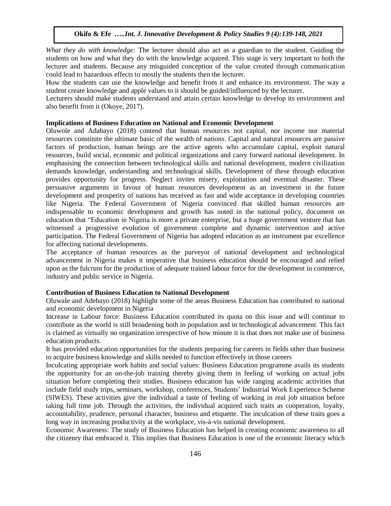*What they do with knowledge:* The lecturer should also act as a guardian to the student. Guiding the students on how and what they do with the knowledge acquired. This stage is very important to both the lecturer and students. Because any misguided conception of the value created through communication could lead to hazardous effects to mostly the students then the lecturer.

How the students can use the knowledge and benefit from it and enhance its environment. The way a student create knowledge and apple values to it should be guided/influenced by the lecturer.

Lecturers should make students understand and attain certain knowledge to develop its environment and also benefit from it (Okoye, 2017).

#### **Implications of Business Education on National and Economic Development**

Oluwole and Adabayo (2018) contend that human resources not capital, nor income nor material resources constitute the ultimate basic of the wealth of nations. Capital and natural resources are passive factors of production, human beings are the active agents who accumulate capital, exploit natural resources, build social, economic and political organizations and carry forward national development. In emphasising the connection between technological skills and national development, modern civilization demands knowledge, understanding and technological skills. Development of these through education provides opportunity for progress. Neglect invites misery, exploitation and eventual disaster. These persuasive arguments in favour of human resources development as an investment in the future development and prosperity of nations has received as fast and wide acceptance in developing countries like Nigeria. The Federal Government of Nigeria convinced that skilled human resources are indispensable to economic development and growth has noted in the national policy, document on education that "Education in Nigeria is more a private enterprise, but a huge government venture that has witnessed a progressive evolution of government complete and dynamic intervention and active participation. The Federal Government of Nigeria has adopted education as an instrument par excellence for affecting national developments.

The acceptance of human resources as the purveyor of national development and technological advancement in Nigeria makes it imperative that business education should be encouraged and relied upon as the fulcrum for the production of adequate trained labour force for the development in commerce, industry and public service in Nigeria.

## **Contribution of Business Education to National Development**

Oluwale and Adebayo (2018) highlight some of the areas Business Education has contributed to national and economic development in Nigeria

Increase in Labour force: Business Education contributed its quota on this issue and will continue to contribute as the world is still broadening both in population and in technological advancement. This fact is claimed as virtually no organization irrespective of how minute it is that does not make use of business education products.

It has provided education opportunities for the students preparing for careers in fields other than business to acquire business knowledge and skills needed to function effectively in those careers

Inculcating appropriate work habits and social values: Business Education programme avails its students the opportunity for an on-the-job training thereby giving them in feeling of working on actual jobs situation before completing their studies. Business education has wide ranging academic activities that include field study trips, seminars, workshop, conferences, Students' Industrial Work Experience Scheme (SIWES). These activities give the individual a taste of feeling of working in real job situation before taking full time job. Through the activities, the individual acquired such traits as cooperation, loyalty, accountability, prudence, personal character, business and etiquette. The inculcation of these traits goes a long way in increasing productivity at the workplace, vis-à-vis national development.

Economic Awareness: The study of Business Education has helped in creating economic awareness to all the citizenry that embraced it. This implies that Business Education is one of the economic literacy which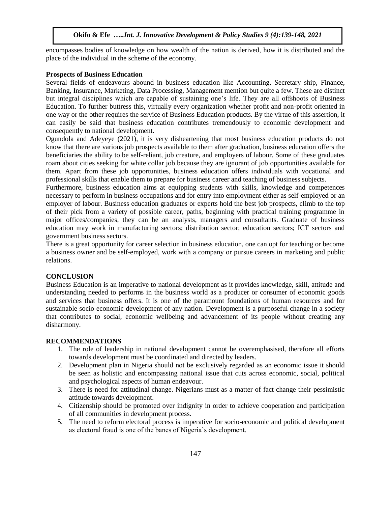encompasses bodies of knowledge on how wealth of the nation is derived, how it is distributed and the place of the individual in the scheme of the economy.

#### **Prospects of Business Education**

Several fields of endeavours abound in business education like Accounting, Secretary ship, Finance, Banking, Insurance, Marketing, Data Processing, Management mention but quite a few. These are distinct but integral disciplines which are capable of sustaining one's life. They are all offshoots of Business Education. To further buttress this, virtually every organization whether profit and non-profit oriented in one way or the other requires the service of Business Education products. By the virtue of this assertion, it can easily be said that business education contributes tremendously to economic development and consequently to national development.

Ogundola and Adeyeye (2021), it is very disheartening that most business education products do not know that there are various job prospects available to them after graduation, business education offers the beneficiaries the ability to be self-reliant, job creature, and employers of labour. Some of these graduates roam about cities seeking for white collar job because they are ignorant of job opportunities available for them. Apart from these job opportunities, business education offers individuals with vocational and professional skills that enable them to prepare for business career and teaching of business subjects.

Furthermore, business education aims at equipping students with skills, knowledge and competences necessary to perform in business occupations and for entry into employment either as self-employed or an employer of labour. Business education graduates or experts hold the best job prospects, climb to the top of their pick from a variety of possible career, paths, beginning with practical training programme in major offices/companies, they can be an analysts, managers and consultants. Graduate of business education may work in manufacturing sectors; distribution sector; education sectors; ICT sectors and government business sectors.

There is a great opportunity for career selection in business education, one can opt for teaching or become a business owner and be self-employed, work with a company or pursue careers in marketing and public relations.

## **CONCLUSION**

Business Education is an imperative to national development as it provides knowledge, skill, attitude and understanding needed to performs in the business world as a producer or consumer of economic goods and services that business offers. It is one of the paramount foundations of human resources and for sustainable socio-economic development of any nation. Development is a purposeful change in a society that contributes to social, economic wellbeing and advancement of its people without creating any disharmony.

## **RECOMMENDATIONS**

- 1. The role of leadership in national development cannot be overemphasised, therefore all efforts towards development must be coordinated and directed by leaders.
- 2. Development plan in Nigeria should not be exclusively regarded as an economic issue it should be seen as holistic and encompassing national issue that cuts across economic, social, political and psychological aspects of human endeavour.
- 3. There is need for attitudinal change. Nigerians must as a matter of fact change their pessimistic attitude towards development.
- 4. Citizenship should be promoted over indignity in order to achieve cooperation and participation of all communities in development process.
- 5. The need to reform electoral process is imperative for socio-economic and political development as electoral fraud is one of the banes of Nigeria's development.